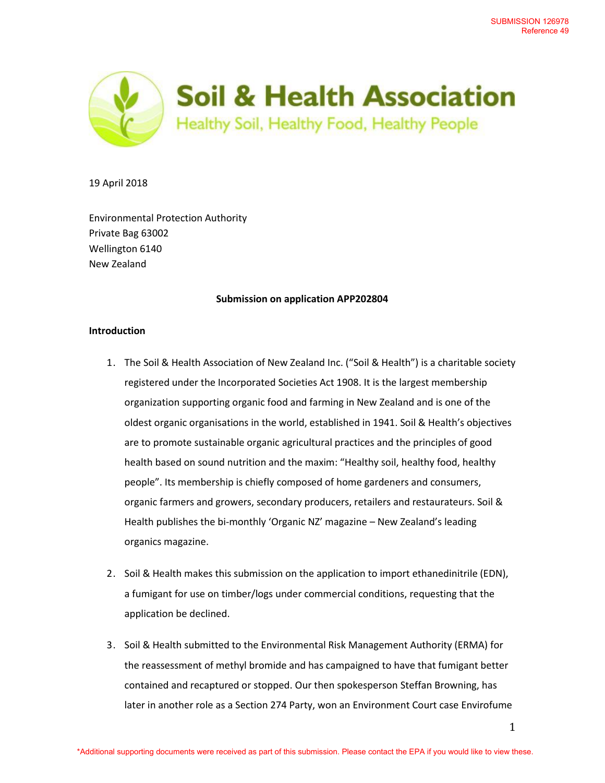

19 April 2018

Environmental Protection Authority Private Bag 63002 Wellington 6140 New Zealand

## **Submission on application APP202804**

## **Introduction**

- 1. The Soil & Health Association of New Zealand Inc. ("Soil & Health") is a charitable society registered under the Incorporated Societies Act 1908. It is the largest membership organization supporting organic food and farming in New Zealand and is one of the oldest organic organisations in the world, established in 1941. Soil & Health's objectives are to promote sustainable organic agricultural practices and the principles of good health based on sound nutrition and the maxim: "Healthy soil, healthy food, healthy people". Its membership is chiefly composed of home gardeners and consumers, organic farmers and growers, secondary producers, retailers and restaurateurs. Soil & Health publishes the bi-monthly 'Organic NZ' magazine – New Zealand's leading organics magazine.
- 2. Soil & Health makes this submission on the application to import ethanedinitrile (EDN), a fumigant for use on timber/logs under commercial conditions, requesting that the application be declined.
- 3. Soil & Health submitted to the Environmental Risk Management Authority (ERMA) for the reassessment of methyl bromide and has campaigned to have that fumigant better contained and recaptured or stopped. Our then spokesperson Steffan Browning, has later in another role as a Section 274 Party, won an Environment Court case Envirofume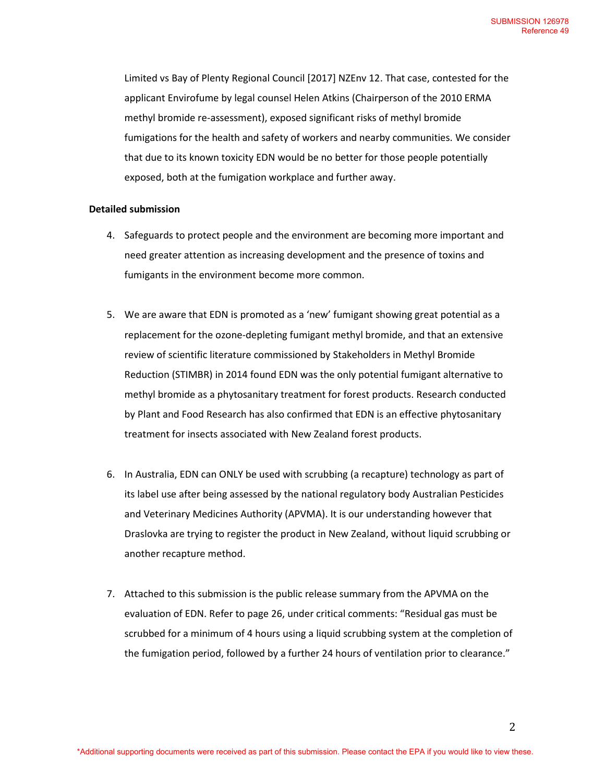Limited vs Bay of Plenty Regional Council [2017] NZEnv 12. That case, contested for the applicant Envirofume by legal counsel Helen Atkins (Chairperson of the 2010 ERMA methyl bromide re-assessment), exposed significant risks of methyl bromide fumigations for the health and safety of workers and nearby communities. We consider that due to its known toxicity EDN would be no better for those people potentially exposed, both at the fumigation workplace and further away.

## **Detailed submission**

- 4. Safeguards to protect people and the environment are becoming more important and need greater attention as increasing development and the presence of toxins and fumigants in the environment become more common.
- 5. We are aware that EDN is promoted as a 'new' fumigant showing great potential as a replacement for the ozone-depleting fumigant methyl bromide, and that an extensive review of scientific literature commissioned by Stakeholders in Methyl Bromide Reduction (STIMBR) in 2014 found EDN was the only potential fumigant alternative to methyl bromide as a phytosanitary treatment for forest products. Research conducted by Plant and Food Research has also confirmed that EDN is an effective phytosanitary treatment for insects associated with New Zealand forest products.
- 6. In Australia, EDN can ONLY be used with scrubbing (a recapture) technology as part of its label use after being assessed by the national regulatory body Australian Pesticides and Veterinary Medicines Authority (APVMA). It is our understanding however that Draslovka are trying to register the product in New Zealand, without liquid scrubbing or another recapture method.
- 7. Attached to this submission is the public release summary from the APVMA on the evaluation of EDN. Refer to page 26, under critical comments: "Residual gas must be scrubbed for a minimum of 4 hours using a liquid scrubbing system at the completion of the fumigation period, followed by a further 24 hours of ventilation prior to clearance."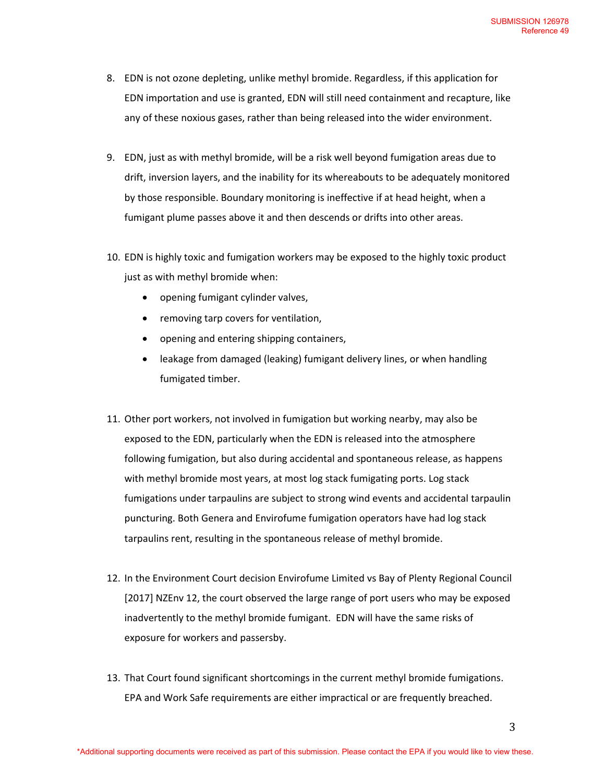- 8. EDN is not ozone depleting, unlike methyl bromide. Regardless, if this application for EDN importation and use is granted, EDN will still need containment and recapture, like any of these noxious gases, rather than being released into the wider environment.
- 9. EDN, just as with methyl bromide, will be a risk well beyond fumigation areas due to drift, inversion layers, and the inability for its whereabouts to be adequately monitored by those responsible. Boundary monitoring is ineffective if at head height, when a fumigant plume passes above it and then descends or drifts into other areas.
- 10. EDN is highly toxic and fumigation workers may be exposed to the highly toxic product just as with methyl bromide when:
	- opening fumigant cylinder valves,
	- removing tarp covers for ventilation,
	- opening and entering shipping containers,
	- leakage from damaged (leaking) fumigant delivery lines, or when handling fumigated timber.
- 11. Other port workers, not involved in fumigation but working nearby, may also be exposed to the EDN, particularly when the EDN is released into the atmosphere following fumigation, but also during accidental and spontaneous release, as happens with methyl bromide most years, at most log stack fumigating ports. Log stack fumigations under tarpaulins are subject to strong wind events and accidental tarpaulin puncturing. Both Genera and Envirofume fumigation operators have had log stack tarpaulins rent, resulting in the spontaneous release of methyl bromide.
- 12. In the Environment Court decision Envirofume Limited vs Bay of Plenty Regional Council [2017] NZEnv 12, the court observed the large range of port users who may be exposed inadvertently to the methyl bromide fumigant. EDN will have the same risks of exposure for workers and passersby.
- 13. That Court found significant shortcomings in the current methyl bromide fumigations. EPA and Work Safe requirements are either impractical or are frequently breached.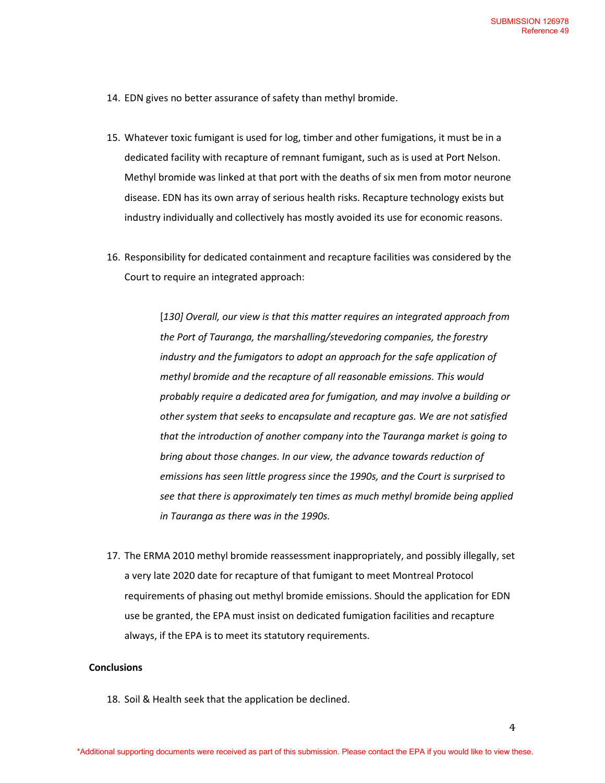- 14. EDN gives no better assurance of safety than methyl bromide.
- 15. Whatever toxic fumigant is used for log, timber and other fumigations, it must be in a dedicated facility with recapture of remnant fumigant, such as is used at Port Nelson. Methyl bromide was linked at that port with the deaths of six men from motor neurone disease. EDN has its own array of serious health risks. Recapture technology exists but industry individually and collectively has mostly avoided its use for economic reasons.
- 16. Responsibility for dedicated containment and recapture facilities was considered by the Court to require an integrated approach:

[*130] Overall, our view is that this matter requires an integrated approach from the Port of Tauranga, the marshalling/stevedoring companies, the forestry industry and the fumigators to adopt an approach for the safe application of methyl bromide and the recapture of all reasonable emissions. This would probably require a dedicated area for fumigation, and may involve a building or other system that seeks to encapsulate and recapture gas. We are not satisfied that the introduction of another company into the Tauranga market is going to bring about those changes. In our view, the advance towards reduction of emissions has seen little progress since the 1990s, and the Court is surprised to see that there is approximately ten times as much methyl bromide being applied in Tauranga as there was in the 1990s.*

17. The ERMA 2010 methyl bromide reassessment inappropriately, and possibly illegally, set a very late 2020 date for recapture of that fumigant to meet Montreal Protocol requirements of phasing out methyl bromide emissions. Should the application for EDN use be granted, the EPA must insist on dedicated fumigation facilities and recapture always, if the EPA is to meet its statutory requirements.

## **Conclusions**

18. Soil & Health seek that the application be declined.